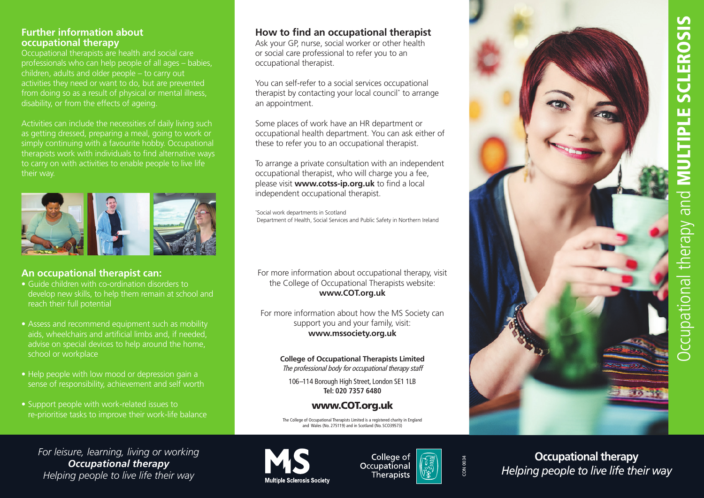#### **Further information about occupational therapy**

Occupational therapists are health and social care professionals who can help people of all ages – babies, children, adults and older people – to carry out activities they need or want to do, but are prevented from doing so as a result of physical or mental illness, disability, or from the effects of ageing.

Activities can include the necessities of daily living such as getting dressed, preparing a meal, going to work or simply continuing with a favourite hobby. Occupational therapists work with individuals to find alternative ways to carry on with activities to enable people to live life their way.



#### **An occupational therapist can:**

- Guide children with co-ordination disorders to develop new skills, to help them remain at school and reach their full potential
- Assess and recommend equipment such as mobility aids, wheelchairs and artificial limbs and, if needed, advise on special devices to help around the home, school or workplace
- Help people with low mood or depression gain a sense of responsibility, achievement and self worth
- Support people with work-related issues to re-prioritise tasks to improve their work-life balance

# **How to find an occupational therapist**

Ask your GP, nurse, social worker or other health or social care professional to refer you to an occupational therapist.

You can self-refer to a social services occupational therapist by contacting your local council\* to arrange an appointment.

Some places of work have an HR department or occupational health department. You can ask either of these to refer you to an occupational therapist.

To arrange a private consultation with an independent occupational therapist, who will charge you a fee, please visit **www.cotss-ip.org.uk** to find a local independent occupational therapist.

\* Social work departments in Scotland Department of Health, Social Services and Public Safety in Northern Ireland

For more information about occupational therapy, visit the College of Occupational Therapists website: **www.COT.org.uk**

For more information about how the MS Society can support you and your family, visit: **www.mssociety.org.uk**

> **College of Occupational Therapists Limited** The professional body for occupational therapy staff

106–114 Borough High Street, London SE1 1LB **Tel: 020 7357 6480**

#### www.COT.org.uk

The College of Occupational Therapists Limited is a registered charity in England and Wales (No. 275119) and in Scotland (No. SCO39573)

*For leisure, learning, living or working Occupational therapy Helping people to live life their way*



College of Occupational Therapists



CON 0034

CON 0034

**Occupational therapy** *Helping people to live life their way*